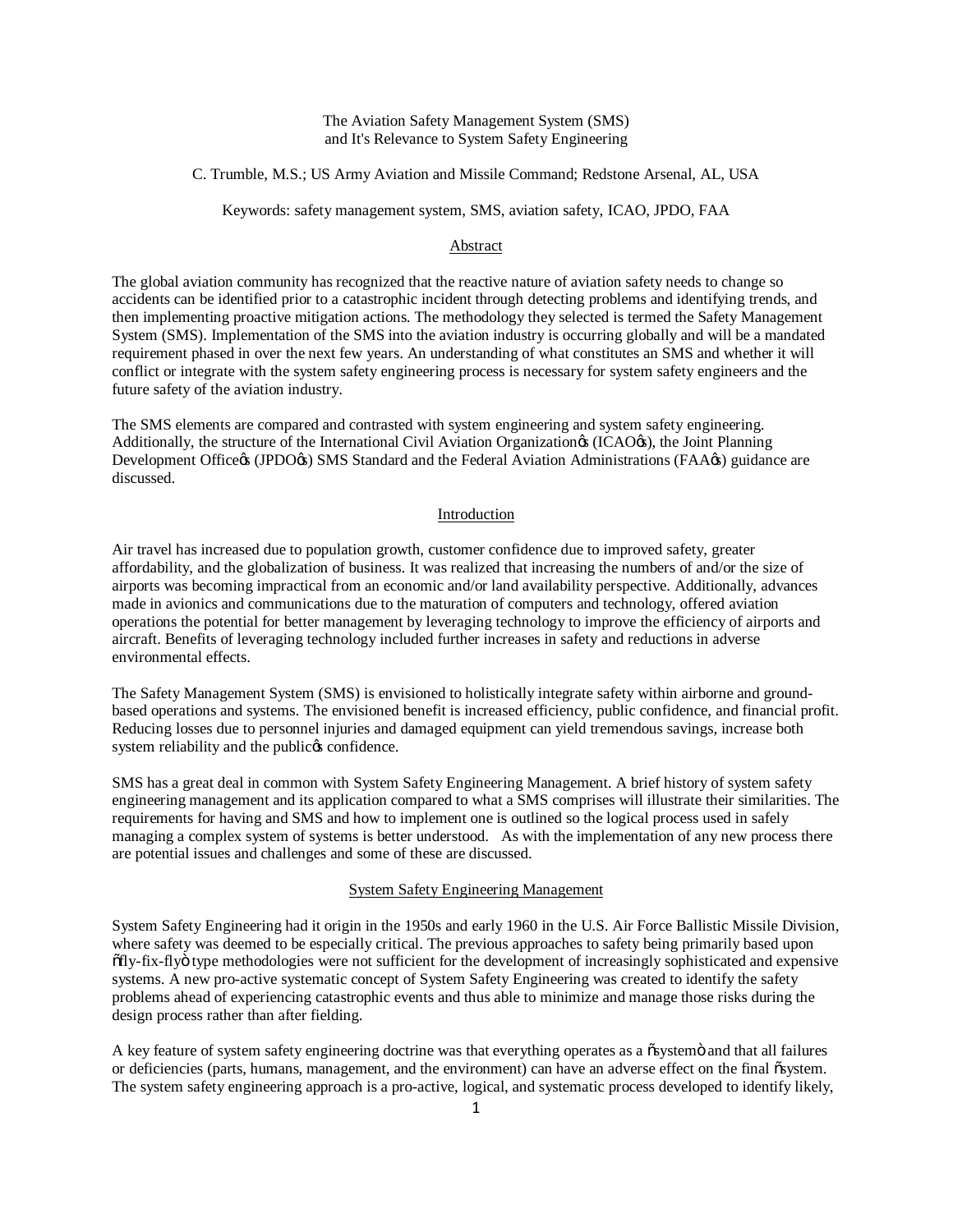## The Aviation Safety Management System (SMS) and It's Relevance to System Safety Engineering

C. Trumble, M.S.; US Army Aviation and Missile Command; Redstone Arsenal, AL, USA

Keywords: safety management system, SMS, aviation safety, ICAO, JPDO, FAA

#### Abstract

The global aviation community has recognized that the reactive nature of aviation safety needs to change so accidents can be identified prior to a catastrophic incident through detecting problems and identifying trends, and then implementing proactive mitigation actions. The methodology they selected is termed the Safety Management System (SMS). Implementation of the SMS into the aviation industry is occurring globally and will be a mandated requirement phased in over the next few years. An understanding of what constitutes an SMS and whether it will conflict or integrate with the system safety engineering process is necessary for system safety engineers and the future safety of the aviation industry.

The SMS elements are compared and contrasted with system engineering and system safety engineering. Additionally, the structure of the International Civil Aviation Organization<sub>®</sub> (ICAO<sup>®</sup>), the Joint Planning Development Office (JPDO(s) SMS Standard and the Federal Aviation Administrations (FAA $\alpha$ ) guidance are discussed.

#### Introduction

Air travel has increased due to population growth, customer confidence due to improved safety, greater affordability, and the globalization of business. It was realized that increasing the numbers of and/or the size of airports was becoming impractical from an economic and/or land availability perspective. Additionally, advances made in avionics and communications due to the maturation of computers and technology, offered aviation operations the potential for better management by leveraging technology to improve the efficiency of airports and aircraft. Benefits of leveraging technology included further increases in safety and reductions in adverse environmental effects.

The Safety Management System (SMS) is envisioned to holistically integrate safety within airborne and groundbased operations and systems. The envisioned benefit is increased efficiency, public confidence, and financial profit. Reducing losses due to personnel injuries and damaged equipment can yield tremendous savings, increase both system reliability and the public  $\alpha$  confidence.

SMS has a great deal in common with System Safety Engineering Management. A brief history of system safety engineering management and its application compared to what a SMS comprises will illustrate their similarities. The requirements for having and SMS and how to implement one is outlined so the logical process used in safely managing a complex system of systems is better understood. As with the implementation of any new process there are potential issues and challenges and some of these are discussed.

#### System Safety Engineering Management

System Safety Engineering had it origin in the 1950s and early 1960 in the U.S. Air Force Ballistic Missile Division, where safety was deemed to be especially critical. The previous approaches to safety being primarily based upon "fly-fix-fly" type methodologies were not sufficient for the development of increasingly sophisticated and expensive systems. A new pro-active systematic concept of System Safety Engineering was created to identify the safety problems ahead of experiencing catastrophic events and thus able to minimize and manage those risks during the design process rather than after fielding.

A key feature of system safety engineering doctrine was that everything operates as a  $\tilde{o}$ system $\tilde{o}$  and that all failures or deficiencies (parts, humans, management, and the environment) can have an adverse effect on the final osystem. The system safety engineering approach is a pro-active, logical, and systematic process developed to identify likely,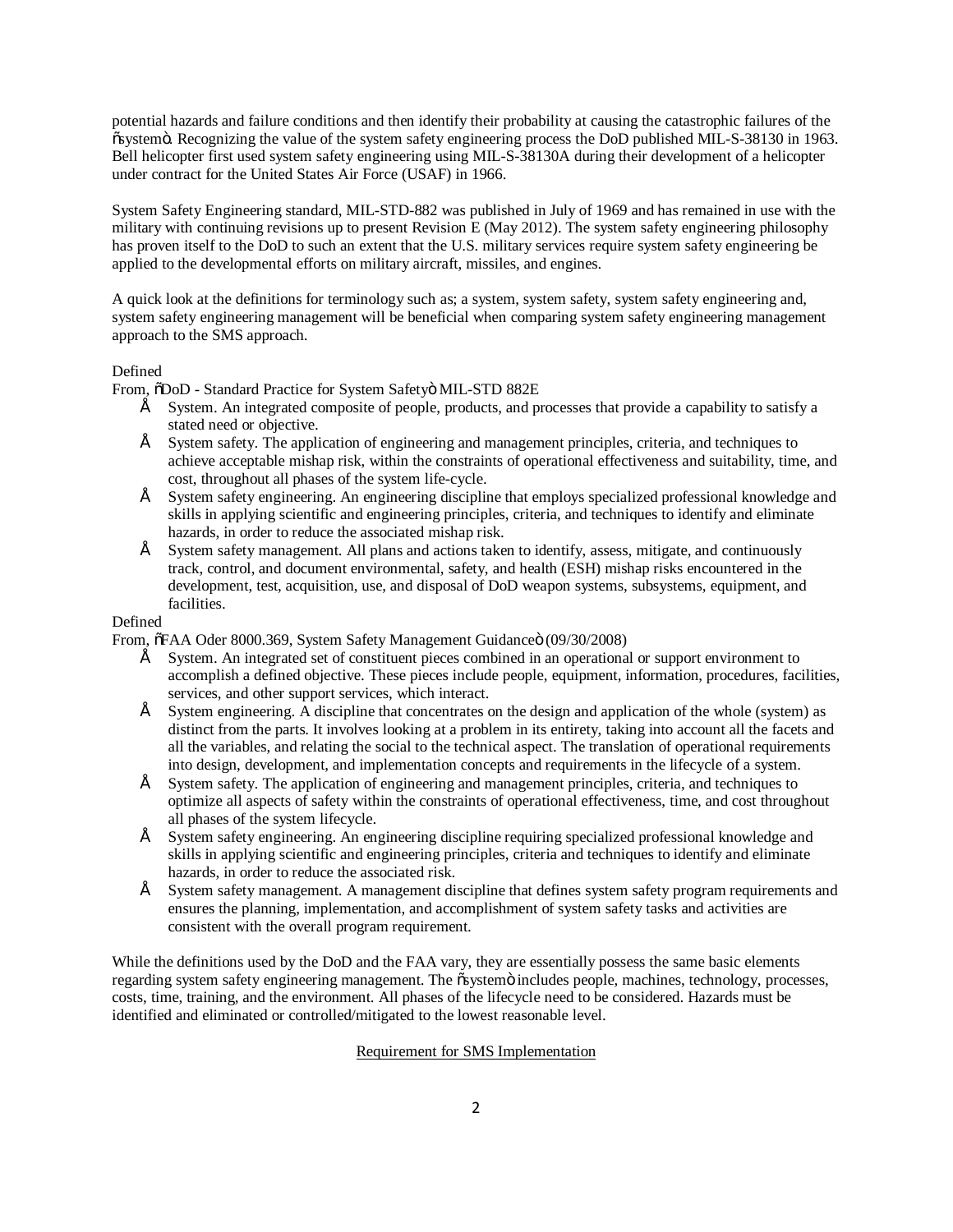potential hazards and failure conditions and then identify their probability at causing the catastrophic failures of the  $\alpha$  isystem  $\ddot{o}$ . Recognizing the value of the system safety engineering process the DoD published MIL-S-38130 in 1963. Bell helicopter first used system safety engineering using MIL-S-38130A during their development of a helicopter under contract for the United States Air Force (USAF) in 1966.

System Safety Engineering standard, MIL-STD-882 was published in July of 1969 and has remained in use with the military with continuing revisions up to present Revision E (May 2012). The system safety engineering philosophy has proven itself to the DoD to such an extent that the U.S. military services require system safety engineering be applied to the developmental efforts on military aircraft, missiles, and engines.

A quick look at the definitions for terminology such as; a system, system safety, system safety engineering and, system safety engineering management will be beneficial when comparing system safety engineering management approach to the SMS approach.

## Defined

From,  $\delta$ DoD - Standard Practice for System Safetyö MIL-STD 882E

- System. An integrated composite of people, products, and processes that provide a capability to satisfy a stated need or objective.
- System safety. The application of engineering and management principles, criteria, and techniques to achieve acceptable mishap risk, within the constraints of operational effectiveness and suitability, time, and cost, throughout all phases of the system life-cycle.
- System safety engineering. An engineering discipline that employs specialized professional knowledge and skills in applying scientific and engineering principles, criteria, and techniques to identify and eliminate hazards, in order to reduce the associated mishap risk.
- System safety management. All plans and actions taken to identify, assess, mitigate, and continuously track, control, and document environmental, safety, and health (ESH) mishap risks encountered in the development, test, acquisition, use, and disposal of DoD weapon systems, subsystems, equipment, and facilities.

## Defined

From,  $\delta$ FAA Oder 8000.369, System Safety Management Guidanceö (09/30/2008)

- System. An integrated set of constituent pieces combined in an operational or support environment to accomplish a defined objective. These pieces include people, equipment, information, procedures, facilities, services, and other support services, which interact.
- System engineering. A discipline that concentrates on the design and application of the whole (system) as distinct from the parts. It involves looking at a problem in its entirety, taking into account all the facets and all the variables, and relating the social to the technical aspect. The translation of operational requirements into design, development, and implementation concepts and requirements in the lifecycle of a system.
- System safety. The application of engineering and management principles, criteria, and techniques to optimize all aspects of safety within the constraints of operational effectiveness, time, and cost throughout all phases of the system lifecycle.
- System safety engineering. An engineering discipline requiring specialized professional knowledge and skills in applying scientific and engineering principles, criteria and techniques to identify and eliminate hazards, in order to reduce the associated risk.
- System safety management. A management discipline that defines system safety program requirements and ensures the planning, implementation, and accomplishment of system safety tasks and activities are consistent with the overall program requirement.

While the definitions used by the DoD and the FAA vary, they are essentially possess the same basic elements regarding system safety engineering management. The  $\tilde{o}$ systemö includes people, machines, technology, processes, costs, time, training, and the environment. All phases of the lifecycle need to be considered. Hazards must be identified and eliminated or controlled/mitigated to the lowest reasonable level.

# Requirement for SMS Implementation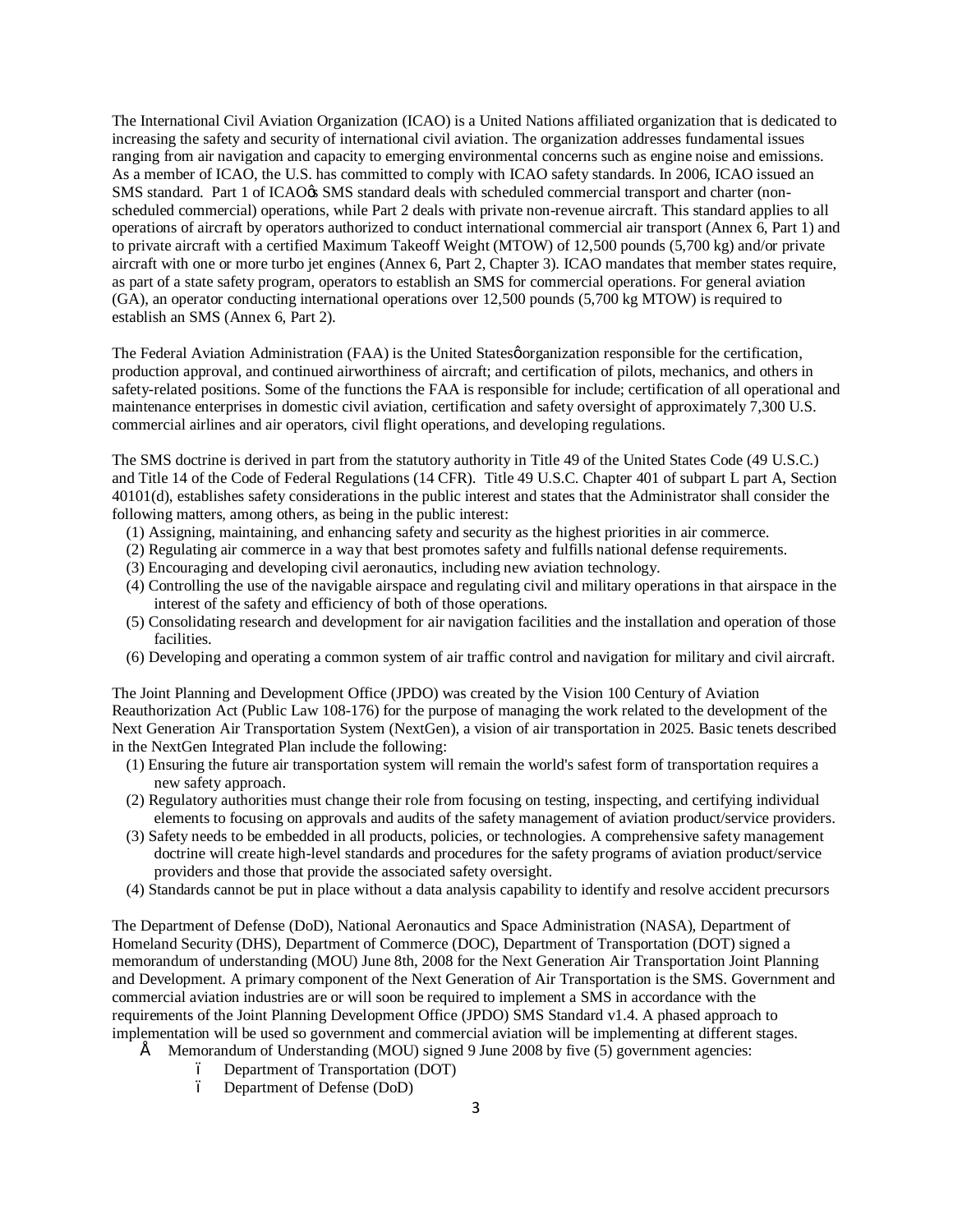The International Civil Aviation Organization (ICAO) is a United Nations affiliated organization that is dedicated to increasing the safety and security of international civil aviation. The organization addresses fundamental issues ranging from air navigation and capacity to emerging environmental concerns such as engine noise and emissions. As a member of ICAO, the U.S. has committed to comply with ICAO safety standards. In 2006, ICAO issued an SMS standard. Part 1 of ICAO $\alpha$  SMS standard deals with scheduled commercial transport and charter (nonscheduled commercial) operations, while Part 2 deals with private non-revenue aircraft. This standard applies to all operations of aircraft by operators authorized to conduct international commercial air transport (Annex 6, Part 1) and to private aircraft with a certified Maximum Takeoff Weight (MTOW) of 12,500 pounds (5,700 kg) and/or private aircraft with one or more turbo jet engines (Annex 6, Part 2, Chapter 3). ICAO mandates that member states require, as part of a state safety program, operators to establish an SMS for commercial operations. For general aviation (GA), an operator conducting international operations over 12,500 pounds (5,700 kg MTOW) is required to establish an SMS (Annex 6, Part 2).

The Federal Aviation Administration (FAA) is the United States organization responsible for the certification, production approval, and continued airworthiness of aircraft; and certification of pilots, mechanics, and others in safety-related positions. Some of the functions the FAA is responsible for include; certification of all operational and maintenance enterprises in domestic civil aviation, certification and safety oversight of approximately 7,300 U.S. commercial airlines and air operators, civil flight operations, and developing regulations.

The SMS doctrine is derived in part from the statutory authority in Title 49 of the United States Code (49 U.S.C.) and Title 14 of the Code of Federal Regulations (14 CFR). Title 49 U.S.C. Chapter 401 of subpart L part A, Section 40101(d), establishes safety considerations in the public interest and states that the Administrator shall consider the following matters, among others, as being in the public interest:

- (1) Assigning, maintaining, and enhancing safety and security as the highest priorities in air commerce.
- (2) Regulating air commerce in a way that best promotes safety and fulfills national defense requirements.
- (3) Encouraging and developing civil aeronautics, including new aviation technology.
- (4) Controlling the use of the navigable airspace and regulating civil and military operations in that airspace in the interest of the safety and efficiency of both of those operations.
- (5) Consolidating research and development for air navigation facilities and the installation and operation of those facilities.
- (6) Developing and operating a common system of air traffic control and navigation for military and civil aircraft.

The Joint Planning and Development Office (JPDO) was created by the Vision 100 Century of Aviation Reauthorization Act (Public Law 108-176) for the purpose of managing the work related to the development of the Next Generation Air Transportation System (NextGen), a vision of air transportation in 2025. Basic tenets described in the NextGen Integrated Plan include the following:

- (1) Ensuring the future air transportation system will remain the world's safest form of transportation requires a new safety approach.
- (2) Regulatory authorities must change their role from focusing on testing, inspecting, and certifying individual elements to focusing on approvals and audits of the safety management of aviation product/service providers.
- (3) Safety needs to be embedded in all products, policies, or technologies. A comprehensive safety management doctrine will create high-level standards and procedures for the safety programs of aviation product/service providers and those that provide the associated safety oversight.
- (4) Standards cannot be put in place without a data analysis capability to identify and resolve accident precursors

The Department of Defense (DoD), National Aeronautics and Space Administration (NASA), Department of Homeland Security (DHS), Department of Commerce (DOC), Department of Transportation (DOT) signed a memorandum of understanding (MOU) June 8th, 2008 for the Next Generation Air Transportation Joint Planning and Development. A primary component of the Next Generation of Air Transportation is the SMS. Government and commercial aviation industries are or will soon be required to implement a SMS in accordance with the requirements of the Joint Planning Development Office (JPDO) SMS Standard v1.4. A phased approach to implementation will be used so government and commercial aviation will be implementing at different stages.

- Memorandum of Understanding (MOU) signed 9 June 2008 by five (5) government agencies:
	- Department of Transportation (DOT)
	- Department of Defense (DoD)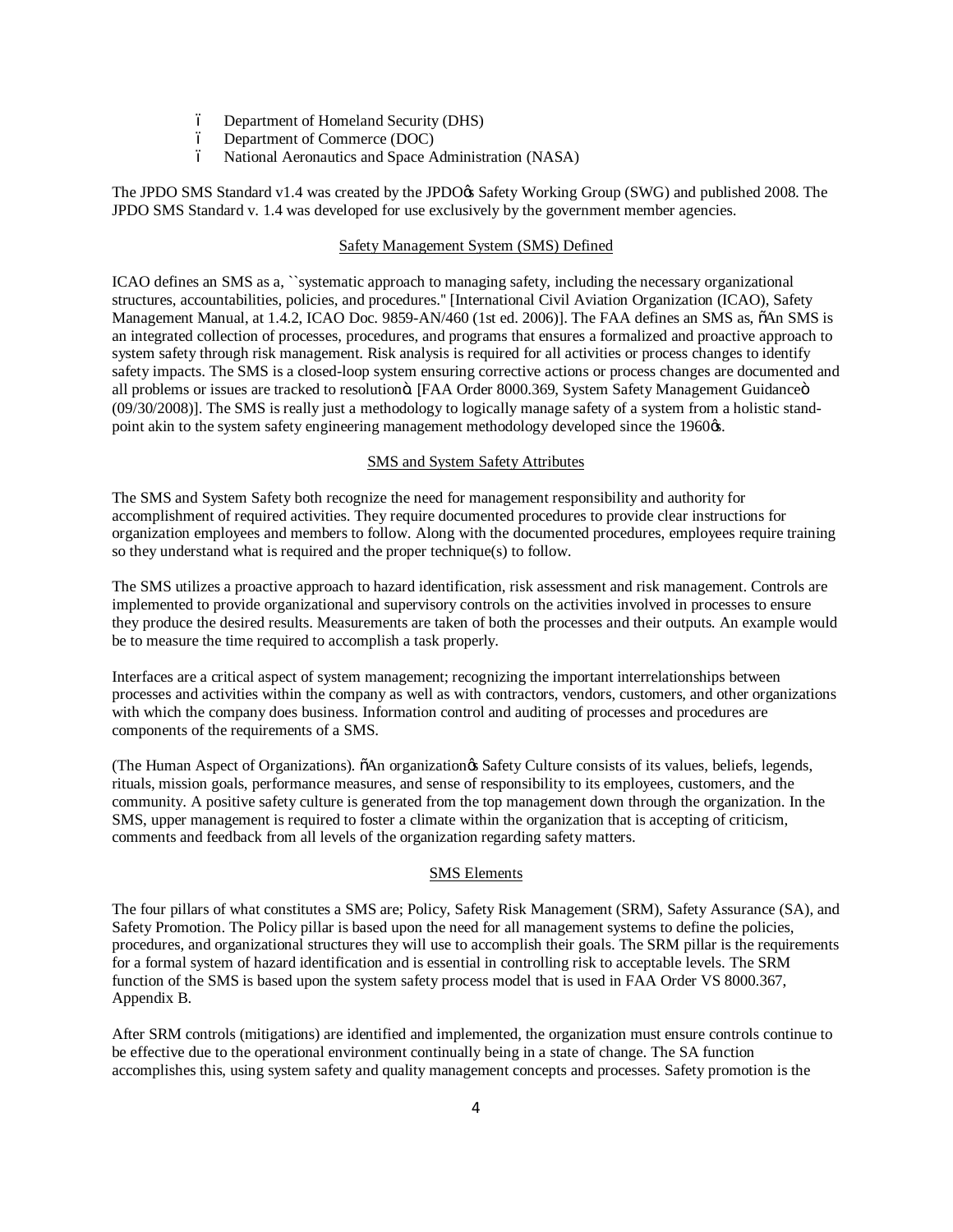- Department of Homeland Security (DHS)
- Department of Commerce (DOC)
- National Aeronautics and Space Administration (NASA)

The JPDO SMS Standard v1.4 was created by the JPDO $\alpha$  Safety Working Group (SWG) and published 2008. The JPDO SMS Standard v. 1.4 was developed for use exclusively by the government member agencies.

#### Safety Management System (SMS) Defined

ICAO defines an SMS as a, ``systematic approach to managing safety, including the necessary organizational structures, accountabilities, policies, and procedures.'' [International Civil Aviation Organization (ICAO), Safety Management Manual, at 1.4.2, ICAO Doc. 9859-AN/460 (1st ed. 2006)]. The FAA defines an SMS as,  $\delta$ An SMS is an integrated collection of processes, procedures, and programs that ensures a formalized and proactive approach to system safety through risk management. Risk analysis is required for all activities or process changes to identify safety impacts. The SMS is a closed-loop system ensuring corrective actions or process changes are documented and all problems or issues are tracked to resolutionö. [FAA Order 8000.369, System Safety Management Guidanceö (09/30/2008)]. The SMS is really just a methodology to logically manage safety of a system from a holistic standpoint akin to the system safety engineering management methodology developed since the 1960 $\alpha$ s.

# SMS and System Safety Attributes

The SMS and System Safety both recognize the need for management responsibility and authority for accomplishment of required activities. They require documented procedures to provide clear instructions for organization employees and members to follow. Along with the documented procedures, employees require training so they understand what is required and the proper technique(s) to follow.

The SMS utilizes a proactive approach to hazard identification, risk assessment and risk management. Controls are implemented to provide organizational and supervisory controls on the activities involved in processes to ensure they produce the desired results. Measurements are taken of both the processes and their outputs. An example would be to measure the time required to accomplish a task properly.

Interfaces are a critical aspect of system management; recognizing the important interrelationships between processes and activities within the company as well as with contractors, vendors, customers, and other organizations with which the company does business. Information control and auditing of processes and procedures are components of the requirements of a SMS.

(The Human Aspect of Organizations). "An organizationgs Safety Culture consists of its values, beliefs, legends, rituals, mission goals, performance measures, and sense of responsibility to its employees, customers, and the community. A positive safety culture is generated from the top management down through the organization. In the SMS, upper management is required to foster a climate within the organization that is accepting of criticism, comments and feedback from all levels of the organization regarding safety matters.

#### SMS Elements

The four pillars of what constitutes a SMS are; Policy, Safety Risk Management (SRM), Safety Assurance (SA), and Safety Promotion. The Policy pillar is based upon the need for all management systems to define the policies, procedures, and organizational structures they will use to accomplish their goals. The SRM pillar is the requirements for a formal system of hazard identification and is essential in controlling risk to acceptable levels. The SRM function of the SMS is based upon the system safety process model that is used in FAA Order VS 8000.367, Appendix B.

After SRM controls (mitigations) are identified and implemented, the organization must ensure controls continue to be effective due to the operational environment continually being in a state of change. The SA function accomplishes this, using system safety and quality management concepts and processes. Safety promotion is the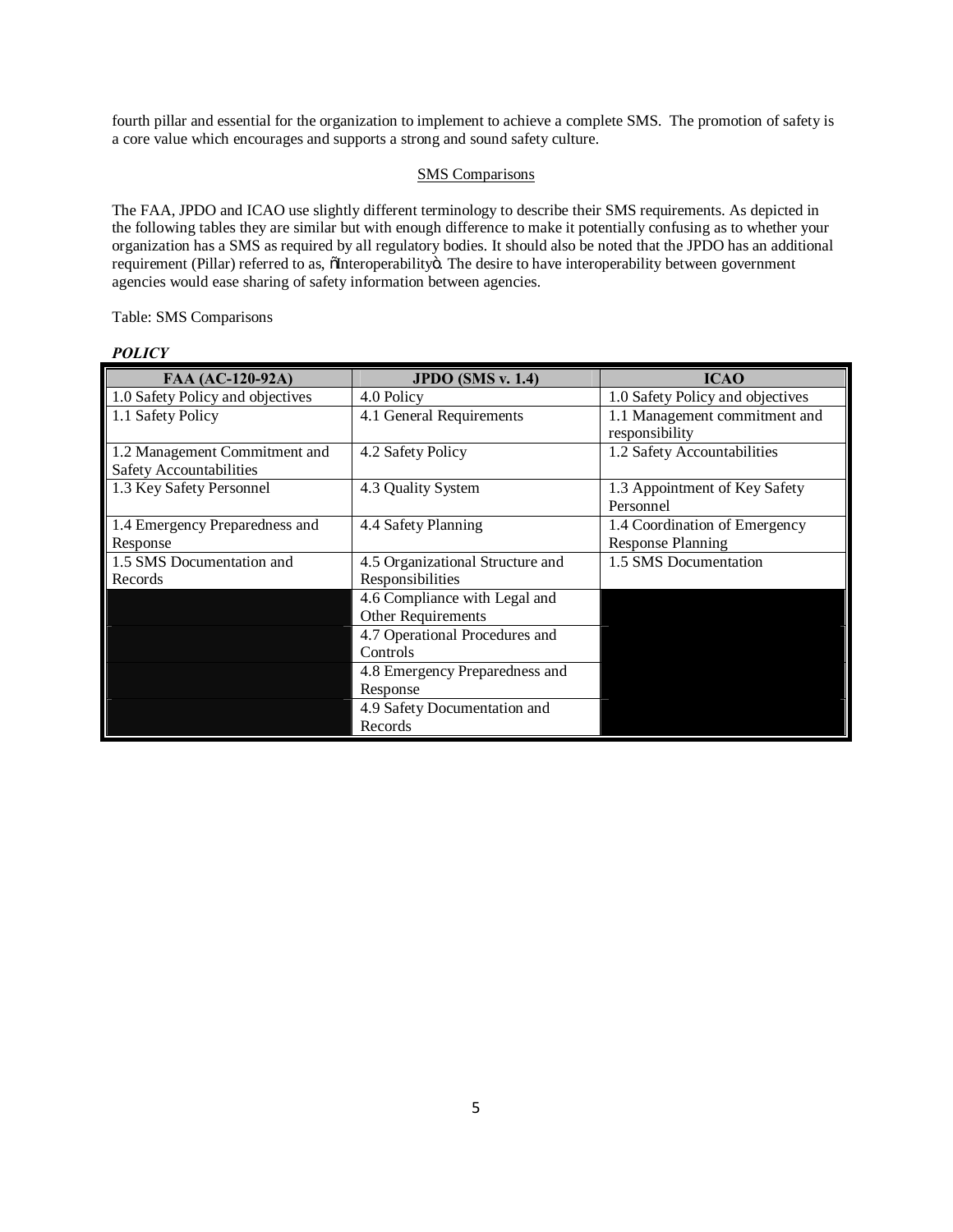fourth pillar and essential for the organization to implement to achieve a complete SMS. The promotion of safety is a core value which encourages and supports a strong and sound safety culture.

#### SMS Comparisons

The FAA, JPDO and ICAO use slightly different terminology to describe their SMS requirements. As depicted in the following tables they are similar but with enough difference to make it potentially confusing as to whether your organization has a SMS as required by all regulatory bodies. It should also be noted that the JPDO has an additional requirement (Pillar) referred to as, "Interoperability". The desire to have interoperability between government agencies would ease sharing of safety information between agencies.

# Table: SMS Comparisons

# *POLICY*

| FAA (AC-120-92A)                 | JPDO $(SMS v. 1.4)$              | <b>ICAO</b>                                     |
|----------------------------------|----------------------------------|-------------------------------------------------|
| 1.0 Safety Policy and objectives | 4.0 Policy                       | 1.0 Safety Policy and objectives                |
| 1.1 Safety Policy                | 4.1 General Requirements         | 1.1 Management commitment and<br>responsibility |
| 1.2 Management Commitment and    | 4.2 Safety Policy                | 1.2 Safety Accountabilities                     |
| <b>Safety Accountabilities</b>   |                                  |                                                 |
| 1.3 Key Safety Personnel         | 4.3 Quality System               | 1.3 Appointment of Key Safety                   |
|                                  |                                  | Personnel                                       |
| 1.4 Emergency Preparedness and   | 4.4 Safety Planning              | 1.4 Coordination of Emergency                   |
| Response                         |                                  | <b>Response Planning</b>                        |
| 1.5 SMS Documentation and        | 4.5 Organizational Structure and | 1.5 SMS Documentation                           |
| Records                          | Responsibilities                 |                                                 |
|                                  | 4.6 Compliance with Legal and    |                                                 |
|                                  | Other Requirements               |                                                 |
|                                  | 4.7 Operational Procedures and   |                                                 |
|                                  | Controls                         |                                                 |
|                                  | 4.8 Emergency Preparedness and   |                                                 |
|                                  | Response                         |                                                 |
|                                  | 4.9 Safety Documentation and     |                                                 |
|                                  | Records                          |                                                 |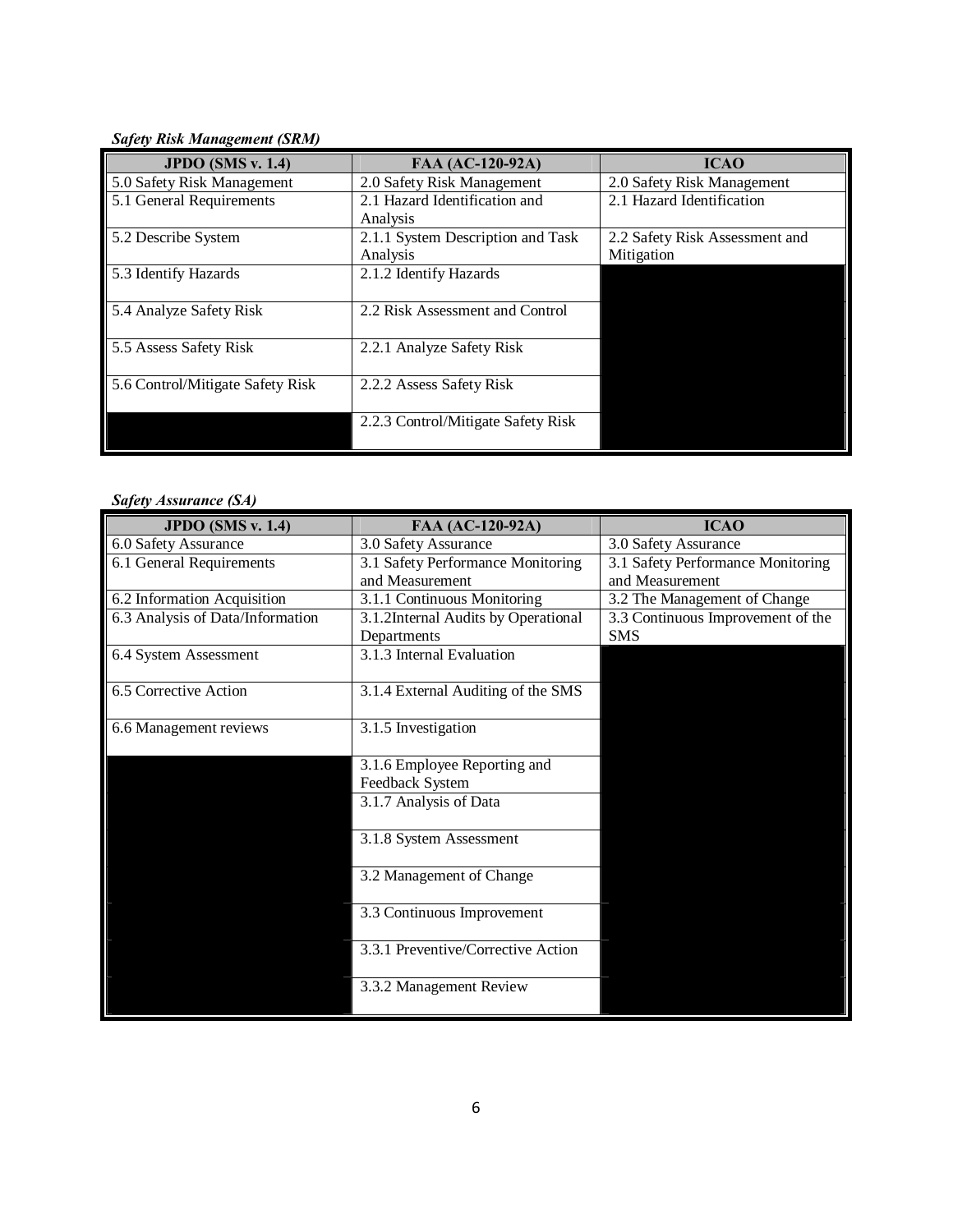*Safety Risk Management (SRM)*

| <b>JPDO</b> (SMS v. 1.4)         | FAA (AC-120-92A)                   | <b>ICAO</b>                    |
|----------------------------------|------------------------------------|--------------------------------|
| 5.0 Safety Risk Management       | 2.0 Safety Risk Management         | 2.0 Safety Risk Management     |
| 5.1 General Requirements         | 2.1 Hazard Identification and      | 2.1 Hazard Identification      |
|                                  | Analysis                           |                                |
| 5.2 Describe System              | 2.1.1 System Description and Task  | 2.2 Safety Risk Assessment and |
|                                  | Analysis                           | Mitigation                     |
| 5.3 Identify Hazards             | 2.1.2 Identify Hazards             |                                |
|                                  |                                    |                                |
| 5.4 Analyze Safety Risk          | 2.2 Risk Assessment and Control    |                                |
|                                  |                                    |                                |
| 5.5 Assess Safety Risk           | 2.2.1 Analyze Safety Risk          |                                |
|                                  |                                    |                                |
| 5.6 Control/Mitigate Safety Risk | 2.2.2 Assess Safety Risk           |                                |
|                                  |                                    |                                |
|                                  | 2.2.3 Control/Mitigate Safety Risk |                                |
|                                  |                                    |                                |

# *Safety Assurance (SA)*

| <b>JPDO</b> (SMS v. 1.4)         | FAA (AC-120-92A)                    | <b>ICAO</b>                       |
|----------------------------------|-------------------------------------|-----------------------------------|
| 6.0 Safety Assurance             | 3.0 Safety Assurance                | 3.0 Safety Assurance              |
| 6.1 General Requirements         | 3.1 Safety Performance Monitoring   | 3.1 Safety Performance Monitoring |
|                                  | and Measurement                     | and Measurement                   |
| 6.2 Information Acquisition      | 3.1.1 Continuous Monitoring         | 3.2 The Management of Change      |
| 6.3 Analysis of Data/Information | 3.1.2Internal Audits by Operational | 3.3 Continuous Improvement of the |
|                                  | Departments                         | <b>SMS</b>                        |
| 6.4 System Assessment            | 3.1.3 Internal Evaluation           |                                   |
|                                  |                                     |                                   |
| 6.5 Corrective Action            | 3.1.4 External Auditing of the SMS  |                                   |
|                                  |                                     |                                   |
| 6.6 Management reviews           | 3.1.5 Investigation                 |                                   |
|                                  |                                     |                                   |
|                                  | 3.1.6 Employee Reporting and        |                                   |
|                                  | Feedback System                     |                                   |
|                                  | 3.1.7 Analysis of Data              |                                   |
|                                  |                                     |                                   |
|                                  | 3.1.8 System Assessment             |                                   |
|                                  |                                     |                                   |
|                                  | 3.2 Management of Change            |                                   |
|                                  |                                     |                                   |
|                                  | 3.3 Continuous Improvement          |                                   |
|                                  |                                     |                                   |
|                                  | 3.3.1 Preventive/Corrective Action  |                                   |
|                                  |                                     |                                   |
|                                  | 3.3.2 Management Review             |                                   |
|                                  |                                     |                                   |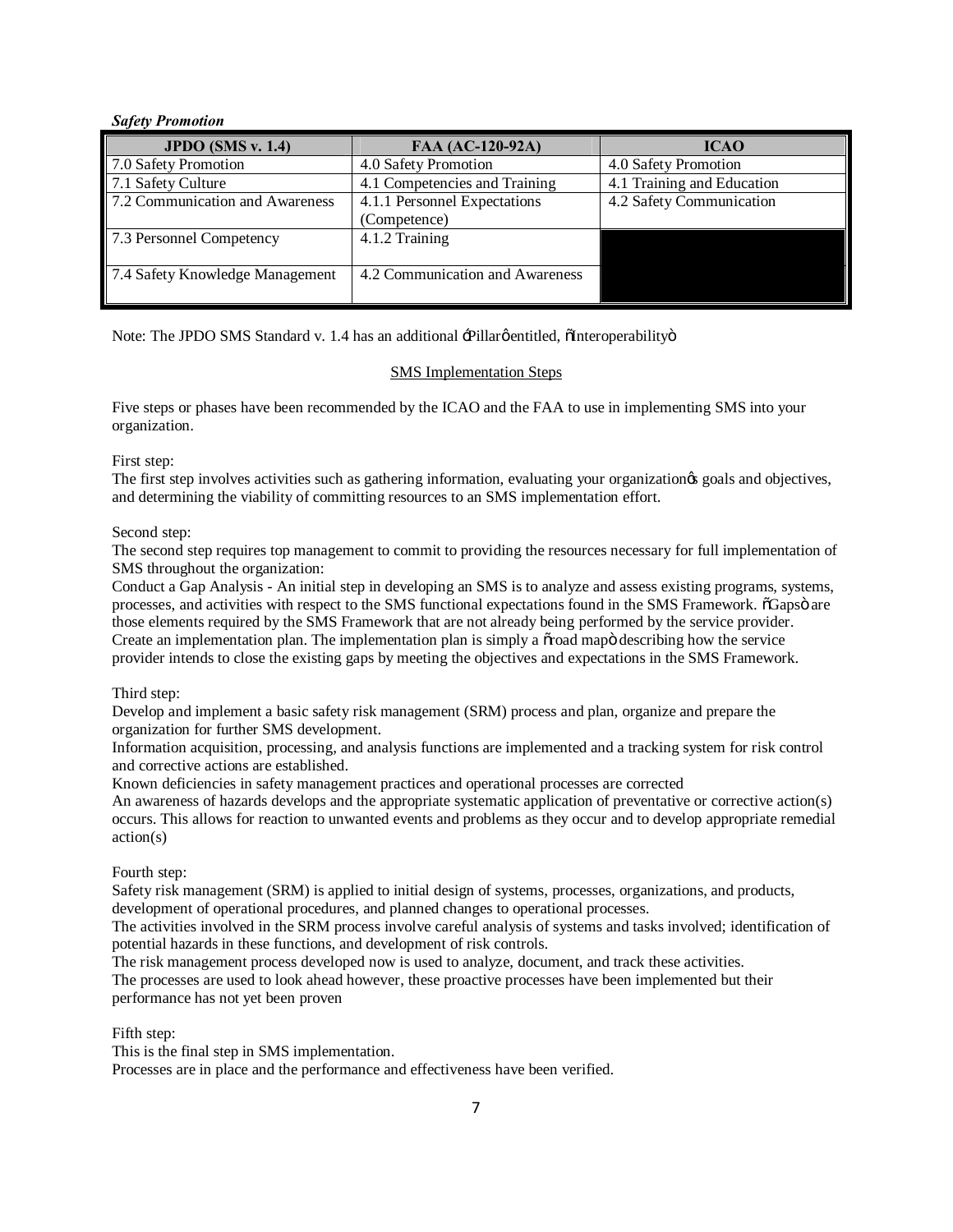#### *Safety Promotion*

| JPDO $(SMS v. 1.4)$             | FAA (AC-120-92A)                | <b>ICAO</b>                |
|---------------------------------|---------------------------------|----------------------------|
| 7.0 Safety Promotion            | 4.0 Safety Promotion            | 4.0 Safety Promotion       |
| 7.1 Safety Culture              | 4.1 Competencies and Training   | 4.1 Training and Education |
| 7.2 Communication and Awareness | 4.1.1 Personnel Expectations    | 4.2 Safety Communication   |
|                                 | (Competence)                    |                            |
| 7.3 Personnel Competency        | 4.1.2 Training                  |                            |
|                                 |                                 |                            |
| 7.4 Safety Knowledge Management | 4.2 Communication and Awareness |                            |
|                                 |                                 |                            |

Note: The JPDO SMS Standard v. 1.4 has an additional -Pillargentitled,  $\delta$ Interoperability $\ddot{o}$ 

#### SMS Implementation Steps

Five steps or phases have been recommended by the ICAO and the FAA to use in implementing SMS into your organization.

#### First step:

The first step involves activities such as gathering information, evaluating your organization is goals and objectives, and determining the viability of committing resources to an SMS implementation effort.

#### Second step:

The second step requires top management to commit to providing the resources necessary for full implementation of SMS throughout the organization:

Conduct a Gap Analysis - An initial step in developing an SMS is to analyze and assess existing programs, systems, processes, and activities with respect to the SMS functional expectations found in the SMS Framework.  $\tilde{o}G$ aps $\tilde{o}$  are those elements required by the SMS Framework that are not already being performed by the service provider. Create an implementation plan. The implementation plan is simply a  $\tilde{\sigma}$  road map describing how the service provider intends to close the existing gaps by meeting the objectives and expectations in the SMS Framework.

## Third step:

Develop and implement a basic safety risk management (SRM) process and plan, organize and prepare the organization for further SMS development.

Information acquisition, processing, and analysis functions are implemented and a tracking system for risk control and corrective actions are established.

Known deficiencies in safety management practices and operational processes are corrected

An awareness of hazards develops and the appropriate systematic application of preventative or corrective action(s) occurs. This allows for reaction to unwanted events and problems as they occur and to develop appropriate remedial action(s)

## Fourth step:

Safety risk management (SRM) is applied to initial design of systems, processes, organizations, and products, development of operational procedures, and planned changes to operational processes.

The activities involved in the SRM process involve careful analysis of systems and tasks involved; identification of potential hazards in these functions, and development of risk controls.

The risk management process developed now is used to analyze, document, and track these activities.

The processes are used to look ahead however, these proactive processes have been implemented but their performance has not yet been proven

## Fifth step:

This is the final step in SMS implementation.

Processes are in place and the performance and effectiveness have been verified.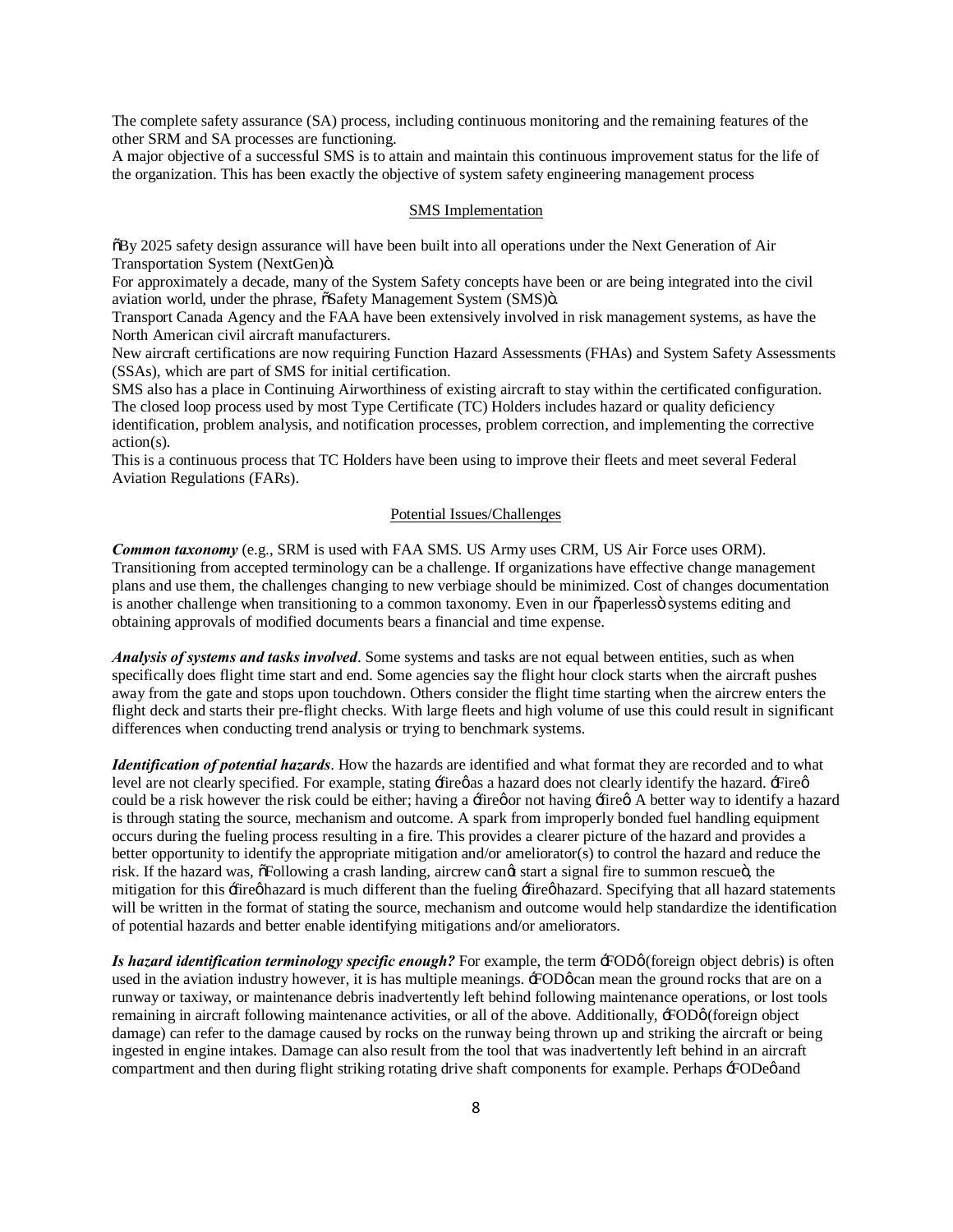The complete safety assurance (SA) process, including continuous monitoring and the remaining features of the other SRM and SA processes are functioning.

A major objective of a successful SMS is to attain and maintain this continuous improvement status for the life of the organization. This has been exactly the objective of system safety engineering management process

#### SMS Implementation

"By 2025 safety design assurance will have been built into all operations under the Next Generation of Air Transportation System (NextGen)ö.

For approximately a decade, many of the System Safety concepts have been or are being integrated into the civil aviation world, under the phrase,  $\tilde{\alpha}$ Safety Management System (SMS) $\ddot{o}$ .

Transport Canada Agency and the FAA have been extensively involved in risk management systems, as have the North American civil aircraft manufacturers.

New aircraft certifications are now requiring Function Hazard Assessments (FHAs) and System Safety Assessments (SSAs), which are part of SMS for initial certification.

SMS also has a place in Continuing Airworthiness of existing aircraft to stay within the certificated configuration. The closed loop process used by most Type Certificate (TC) Holders includes hazard or quality deficiency identification, problem analysis, and notification processes, problem correction, and implementing the corrective action(s).

This is a continuous process that TC Holders have been using to improve their fleets and meet several Federal Aviation Regulations (FARs).

# Potential Issues/Challenges

*Common taxonomy* (e.g., SRM is used with FAA SMS. US Army uses CRM, US Air Force uses ORM). Transitioning from accepted terminology can be a challenge. If organizations have effective change management plans and use them, the challenges changing to new verbiage should be minimized. Cost of changes documentation is another challenge when transitioning to a common taxonomy. Even in our  $\tilde{\sigma}$  paperless is systems editing and obtaining approvals of modified documents bears a financial and time expense.

*Analysis of systems and tasks involved*. Some systems and tasks are not equal between entities, such as when specifically does flight time start and end. Some agencies say the flight hour clock starts when the aircraft pushes away from the gate and stops upon touchdown. Others consider the flight time starting when the aircrew enters the flight deck and starts their pre-flight checks. With large fleets and high volume of use this could result in significant differences when conducting trend analysis or trying to benchmark systems.

*Identification of potential hazards*. How the hazards are identified and what format they are recorded and to what level are not clearly specified. For example, stating  $\pm$ firegas a hazard does not clearly identify the hazard.  $\pm$ fireg could be a risk however the risk could be either; having a firetion or having fired. A better way to identify a hazard is through stating the source, mechanism and outcome. A spark from improperly bonded fuel handling equipment occurs during the fueling process resulting in a fire. This provides a clearer picture of the hazard and provides a better opportunity to identify the appropriate mitigation and/or ameliorator(s) to control the hazard and reduce the risk. If the hazard was,  $\tilde{o}Following$  a crash landing, aircrew cangt start a signal fire to summon rescueö, the mitigation for this fire o hazard is much different than the fueling fire o hazard. Specifying that all hazard statements will be written in the format of stating the source, mechanism and outcome would help standardize the identification of potential hazards and better enable identifying mitigations and/or ameliorators.

*Is hazard identification terminology specific enough?* For example, the term  $\pm$ ODø (foreign object debris) is often used in the aviation industry however, it is has multiple meanings.  $\pm$ ODøcan mean the ground rocks that are on a runway or taxiway, or maintenance debris inadvertently left behind following maintenance operations, or lost tools remaining in aircraft following maintenance activities, or all of the above. Additionally,  $\pm$ ODø (foreign object damage) can refer to the damage caused by rocks on the runway being thrown up and striking the aircraft or being ingested in engine intakes. Damage can also result from the tool that was inadvertently left behind in an aircraft compartment and then during flight striking rotating drive shaft components for example. Perhaps  $\pm$ ODe $\phi$  and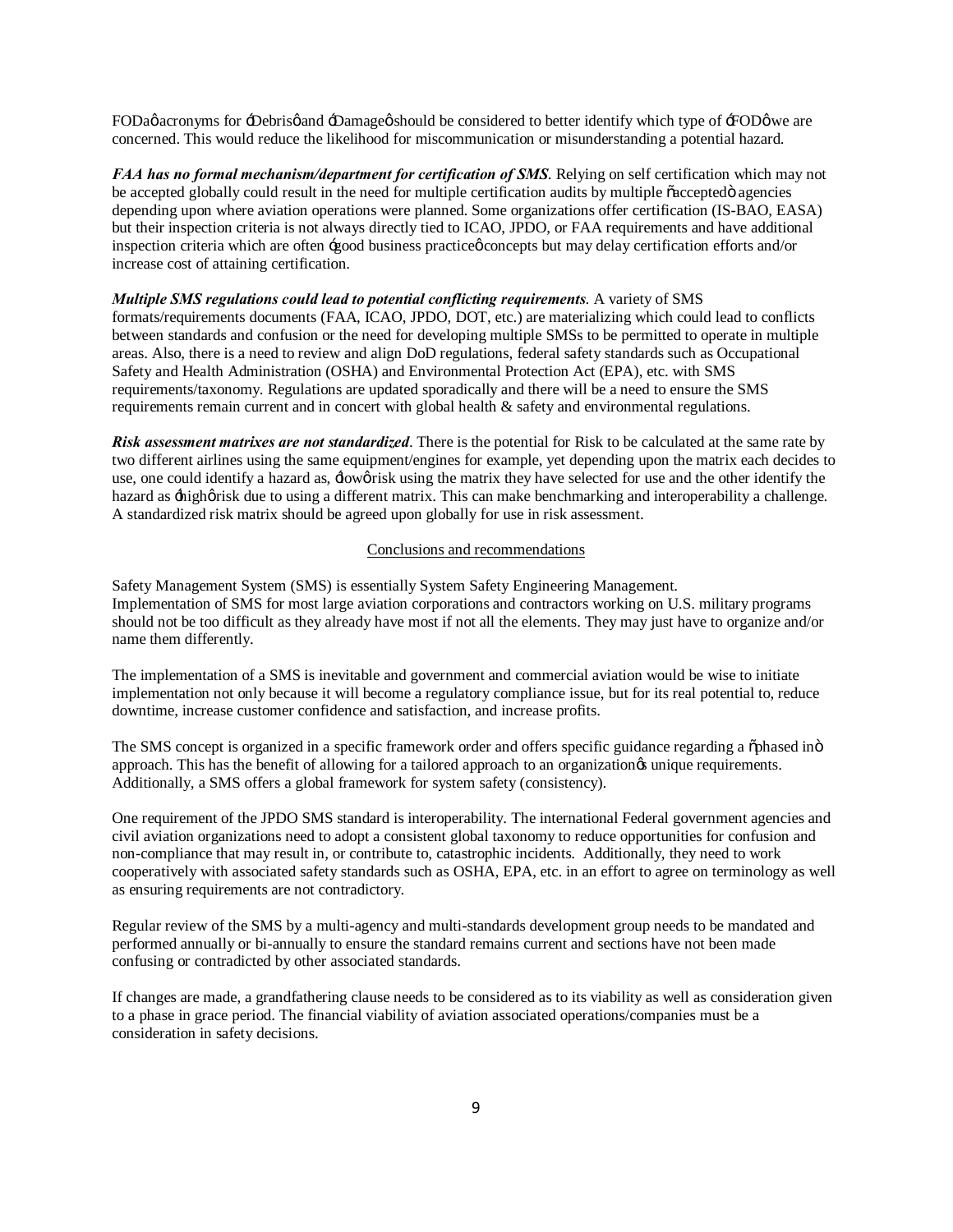FODag acronyms for -Debrisg and -Damageg should be considered to better identify which type of -FODg we are concerned. This would reduce the likelihood for miscommunication or misunderstanding a potential hazard.

*FAA has no formal mechanism/department for certification of SMS*. Relying on self certification which may not be accepted globally could result in the need for multiple certification audits by multiple  $\tilde{c}$  accepted agencies depending upon where aviation operations were planned. Some organizations offer certification (IS-BAO, EASA) but their inspection criteria is not always directly tied to ICAO, JPDO, or FAA requirements and have additional inspection criteria which are often -good business practice concepts but may delay certification efforts and/or increase cost of attaining certification.

# *Multiple SMS regulations could lead to potential conflicting requirements*. A variety of SMS

formats/requirements documents (FAA, ICAO, JPDO, DOT, etc.) are materializing which could lead to conflicts between standards and confusion or the need for developing multiple SMSs to be permitted to operate in multiple areas. Also, there is a need to review and align DoD regulations, federal safety standards such as Occupational Safety and Health Administration (OSHA) and Environmental Protection Act (EPA), etc. with SMS requirements/taxonomy. Regulations are updated sporadically and there will be a need to ensure the SMS requirements remain current and in concert with global health & safety and environmental regulations.

*Risk assessment matrixes are not standardized*. There is the potential for Risk to be calculated at the same rate by two different airlines using the same equipment/engines for example, yet depending upon the matrix each decides to use, one could identify a hazard as,  $\frac{1}{2}$  owgrisk using the matrix they have selected for use and the other identify the hazard as  $\pm$ highørisk due to using a different matrix. This can make benchmarking and interoperability a challenge. A standardized risk matrix should be agreed upon globally for use in risk assessment.

# Conclusions and recommendations

Safety Management System (SMS) is essentially System Safety Engineering Management. Implementation of SMS for most large aviation corporations and contractors working on U.S. military programs should not be too difficult as they already have most if not all the elements. They may just have to organize and/or name them differently.

The implementation of a SMS is inevitable and government and commercial aviation would be wise to initiate implementation not only because it will become a regulatory compliance issue, but for its real potential to, reduce downtime, increase customer confidence and satisfaction, and increase profits.

The SMS concept is organized in a specific framework order and offers specific guidance regarding a  $\ddot{\text{o}}$ phased in $\ddot{\text{o}}$ approach. This has the benefit of allowing for a tailored approach to an organization in unique requirements. Additionally, a SMS offers a global framework for system safety (consistency).

One requirement of the JPDO SMS standard is interoperability. The international Federal government agencies and civil aviation organizations need to adopt a consistent global taxonomy to reduce opportunities for confusion and non-compliance that may result in, or contribute to, catastrophic incidents. Additionally, they need to work cooperatively with associated safety standards such as OSHA, EPA, etc. in an effort to agree on terminology as well as ensuring requirements are not contradictory.

Regular review of the SMS by a multi-agency and multi-standards development group needs to be mandated and performed annually or bi-annually to ensure the standard remains current and sections have not been made confusing or contradicted by other associated standards.

If changes are made, a grandfathering clause needs to be considered as to its viability as well as consideration given to a phase in grace period. The financial viability of aviation associated operations/companies must be a consideration in safety decisions.